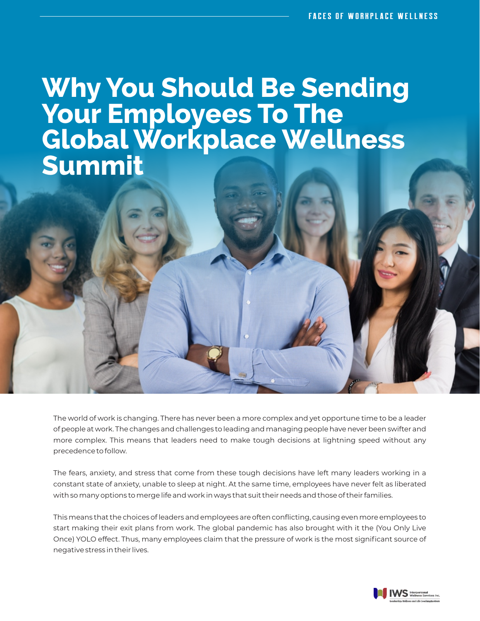## **Why You Should Be Sending Your Employees To The Global Workplace Wellness Summit**

The world of work is changing. There has never been a more complex and yet opportune time to be a leader of people at work. The changes and challenges to leading and managing people have never been swifter and more complex. This means that leaders need to make tough decisions at lightning speed without any precedence to follow.

The fears, anxiety, and stress that come from these tough decisions have left many leaders working in a constant state of anxiety, unable to sleep at night. At the same time, employees have never felt as liberated with so many options to merge life and work in ways that suit their needs and those of their families.

This means that the choices of leaders and employees are often conflicting, causing even more employees to start making their exit plans from work. The global pandemic has also brought with it the (You Only Live Once) YOLO effect. Thus, many employees claim that the pressure of work is the most significant source of negative stress in their lives.

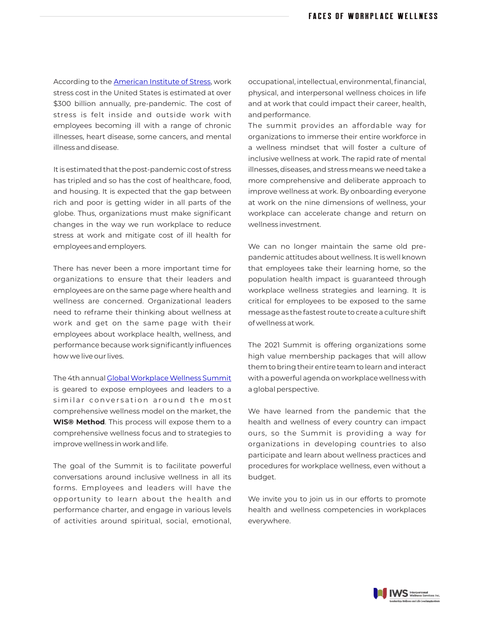According to the [American Institute of Stress](https://www.stress.org/workplace-stress), work stress cost in the United States is estimated at over \$300 billion annually, pre-pandemic. The cost of stress is felt inside and outside work with employees becoming ill with a range of chronic illnesses, heart disease, some cancers, and mental illness and disease.

It is estimated that the post-pandemic cost of stress has tripled and so has the cost of healthcare, food, and housing. It is expected that the gap between rich and poor is getting wider in all parts of the globe. Thus, organizations must make significant changes in the way we run workplace to reduce stress at work and mitigate cost of ill health for employees and employers.

There has never been a more important time for organizations to ensure that their leaders and employees are on the same page where health and wellness are concerned. Organizational leaders need to reframe their thinking about wellness at work and get on the same page with their employees about workplace health, wellness, and performance because work significantly influences how we live our lives.

The 4th annual [Global Workplace Wellness Summit](https://globalworkplacewellnesssummit.com/) is geared to expose employees and leaders to a similar conversation around the most comprehensive wellness model on the market, the **WIS® Method**. This process will expose them to a comprehensive wellness focus and to strategies to improve wellness in work and life.

The goal of the Summit is to facilitate powerful conversations around inclusive wellness in all its forms. Employees and leaders will have the opportunity to learn about the health and performance charter, and engage in various levels of activities around spiritual, social, emotional,

occupational, intellectual, environmental, financial, physical, and interpersonal wellness choices in life and at work that could impact their career, health, and performance.

The summit provides an affordable way for organizations to immerse their entire workforce in a wellness mindset that will foster a culture of inclusive wellness at work. The rapid rate of mental illnesses, diseases, and stress means we need take a more comprehensive and deliberate approach to improve wellness at work. By onboarding everyone at work on the nine dimensions of wellness, your workplace can accelerate change and return on wellness investment.

We can no longer maintain the same old prepandemic attitudes about wellness. It is well known that employees take their learning home, so the population health impact is guaranteed through workplace wellness strategies and learning. It is critical for employees to be exposed to the same message as the fastest route to create a culture shift of wellness at work.

The 2021 Summit is offering organizations some high value membership packages that will allow them to bring their entire team to learn and interact with a powerful agenda on workplace wellness with a global perspective.

We have learned from the pandemic that the health and wellness of every country can impact ours, so the Summit is providing a way for organizations in developing countries to also participate and learn about wellness practices and procedures for workplace wellness, even without a budget.

We invite you to join us in our efforts to promote health and wellness competencies in workplaces everywhere.